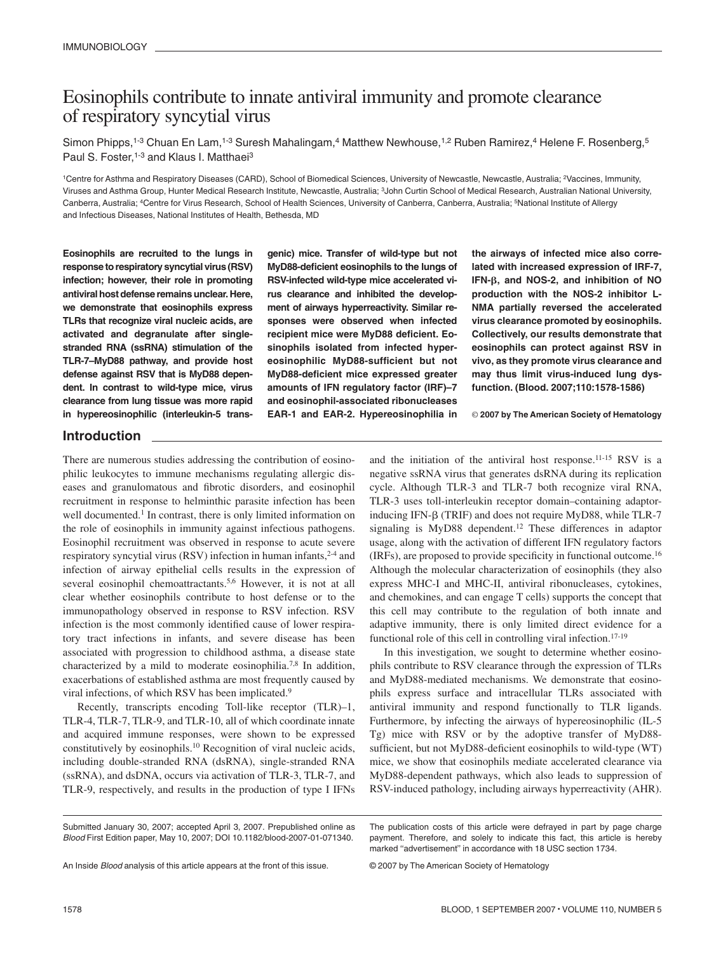# Eosinophils contribute to innate antiviral immunity and promote clearance of respiratory syncytial virus

Simon Phipps,<sup>1-3</sup> Chuan En Lam,<sup>1-3</sup> Suresh Mahalingam,<sup>4</sup> Matthew Newhouse,<sup>1,2</sup> Ruben Ramirez,<sup>4</sup> Helene F. Rosenberg,<sup>5</sup> Paul S. Foster,<sup>1-3</sup> and Klaus I. Matthaei<sup>3</sup>

<sup>1</sup>Centre for Asthma and Respiratory Diseases (CARD), School of Biomedical Sciences, University of Newcastle, Newcastle, Australia; <sup>2</sup>Vaccines, Immunity, Viruses and Asthma Group, Hunter Medical Research Institute, Newcastle, Australia; <sup>3</sup>John Curtin School of Medical Research, Australian National University, Canberra, Australia; <sup>4</sup>Centre for Virus Research, School of Health Sciences, University of Canberra, Canberra, Australia; <sup>5</sup>National Institute of Allergy and Infectious Diseases, National Institutes of Health, Bethesda, MD

**Eosinophils are recruited to the lungs in response to respiratory syncytial virus (RSV) infection; however, their role in promoting antiviral host defense remains unclear. Here, we demonstrate that eosinophils express TLRs that recognize viral nucleic acids, are activated and degranulate after singlestranded RNA (ssRNA) stimulation of the TLR-7–MyD88 pathway, and provide host defense against RSV that is MyD88 dependent. In contrast to wild-type mice, virus clearance from lung tissue was more rapid in hypereosinophilic (interleukin-5 trans-** **genic) mice. Transfer of wild-type but not MyD88-deficient eosinophils to the lungs of RSV-infected wild-type mice accelerated virus clearance and inhibited the development of airways hyperreactivity. Similar responses were observed when infected recipient mice were MyD88 deficient. Eosinophils isolated from infected hypereosinophilic MyD88-sufficient but not MyD88-deficient mice expressed greater amounts of IFN regulatory factor (IRF)–7 and eosinophil-associated ribonucleases EAR-1 and EAR-2. Hypereosinophilia in**

**the airways of infected mice also correlated with increased expression of IRF-7, IFN-, and NOS-2, and inhibition of NO production with the NOS-2 inhibitor L-NMA partially reversed the accelerated virus clearance promoted by eosinophils. Collectively, our results demonstrate that eosinophils can protect against RSV in vivo, as they promote virus clearance and may thus limit virus-induced lung dysfunction. (Blood. 2007;110:1578-1586)**

© **2007 by The American Society of Hematology**

# **Introduction**

There are numerous studies addressing the contribution of eosinophilic leukocytes to immune mechanisms regulating allergic diseases and granulomatous and fibrotic disorders, and eosinophil recruitment in response to helminthic parasite infection has been well documented.<sup>1</sup> In contrast, there is only limited information on the role of eosinophils in immunity against infectious pathogens. Eosinophil recruitment was observed in response to acute severe respiratory syncytial virus (RSV) infection in human infants,  $2-4$  and infection of airway epithelial cells results in the expression of several eosinophil chemoattractants.<sup>5,6</sup> However, it is not at all clear whether eosinophils contribute to host defense or to the immunopathology observed in response to RSV infection. RSV infection is the most commonly identified cause of lower respiratory tract infections in infants, and severe disease has been associated with progression to childhood asthma, a disease state characterized by a mild to moderate eosinophilia.7,8 In addition, exacerbations of established asthma are most frequently caused by viral infections, of which RSV has been implicated.<sup>9</sup>

Recently, transcripts encoding Toll-like receptor (TLR)–1, TLR-4, TLR-7, TLR-9, and TLR-10, all of which coordinate innate and acquired immune responses, were shown to be expressed constitutively by eosinophils.<sup>10</sup> Recognition of viral nucleic acids, including double-stranded RNA (dsRNA), single-stranded RNA (ssRNA), and dsDNA, occurs via activation of TLR-3, TLR-7, and TLR-9, respectively, and results in the production of type I IFNs and the initiation of the antiviral host response.11-15 RSV is a negative ssRNA virus that generates dsRNA during its replication cycle. Although TLR-3 and TLR-7 both recognize viral RNA, TLR-3 uses toll-interleukin receptor domain–containing adaptorinducing IFN- $\beta$  (TRIF) and does not require MyD88, while TLR-7 signaling is MyD88 dependent.<sup>12</sup> These differences in adaptor usage, along with the activation of different IFN regulatory factors (IRFs), are proposed to provide specificity in functional outcome.<sup>16</sup> Although the molecular characterization of eosinophils (they also express MHC-I and MHC-II, antiviral ribonucleases, cytokines, and chemokines, and can engage T cells) supports the concept that this cell may contribute to the regulation of both innate and adaptive immunity, there is only limited direct evidence for a functional role of this cell in controlling viral infection.<sup>17-19</sup>

In this investigation, we sought to determine whether eosinophils contribute to RSV clearance through the expression of TLRs and MyD88-mediated mechanisms. We demonstrate that eosinophils express surface and intracellular TLRs associated with antiviral immunity and respond functionally to TLR ligands. Furthermore, by infecting the airways of hypereosinophilic (IL-5 Tg) mice with RSV or by the adoptive transfer of MyD88 sufficient, but not MyD88-deficient eosinophils to wild-type (WT) mice, we show that eosinophils mediate accelerated clearance via MyD88-dependent pathways, which also leads to suppression of RSV-induced pathology, including airways hyperreactivity (AHR).

© 2007 by The American Society of Hematology

Submitted January 30, 2007; accepted April 3, 2007. Prepublished online as Blood First Edition paper, May 10, 2007; DOI 10.1182/blood-2007-01-071340.

The publication costs of this article were defrayed in part by page charge payment. Therefore, and solely to indicate this fact, this article is hereby marked "advertisement" in accordance with 18 USC section 1734.

An Inside Blood analysis of this article appears at the front of this issue.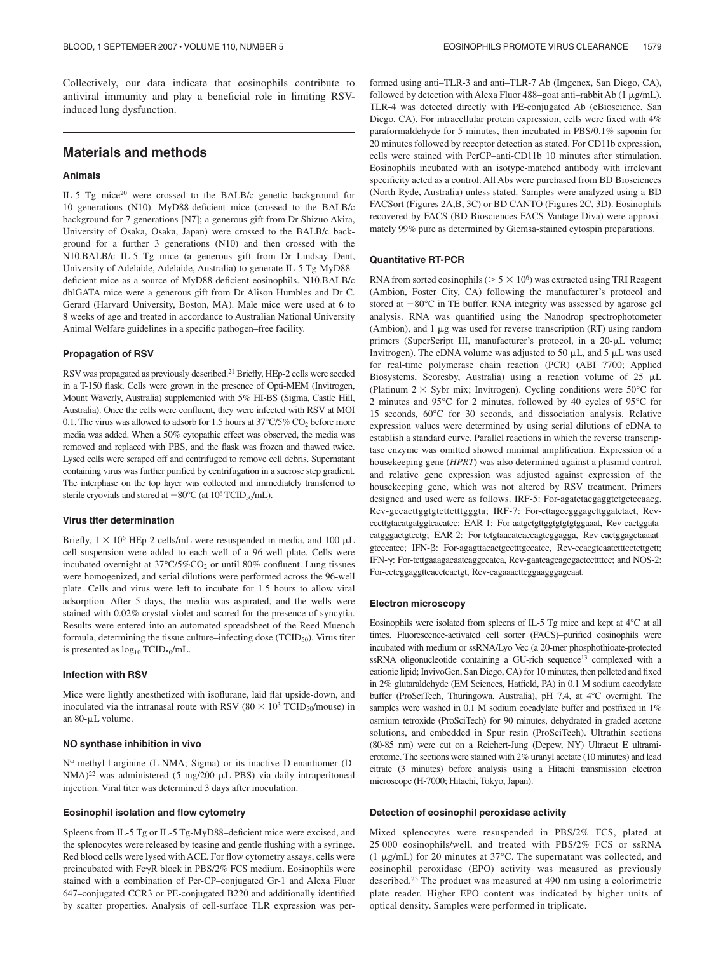Collectively, our data indicate that eosinophils contribute to antiviral immunity and play a beneficial role in limiting RSVinduced lung dysfunction.

# **Materials and methods**

### **Animals**

IL-5 Tg mice<sup>20</sup> were crossed to the BALB/c genetic background for 10 generations (N10). MyD88-deficient mice (crossed to the BALB/c background for 7 generations [N7]; a generous gift from Dr Shizuo Akira, University of Osaka, Osaka, Japan) were crossed to the BALB/c background for a further 3 generations (N10) and then crossed with the N10.BALB/c IL-5 Tg mice (a generous gift from Dr Lindsay Dent, University of Adelaide, Adelaide, Australia) to generate IL-5 Tg-MyD88– deficient mice as a source of MyD88-deficient eosinophils. N10.BALB/c dblGATA mice were a generous gift from Dr Alison Humbles and Dr C. Gerard (Harvard University, Boston, MA). Male mice were used at 6 to 8 weeks of age and treated in accordance to Australian National University Animal Welfare guidelines in a specific pathogen–free facility.

#### **Propagation of RSV**

RSV was propagated as previously described.<sup>21</sup> Briefly, HEp-2 cells were seeded in a T-150 flask. Cells were grown in the presence of Opti-MEM (Invitrogen, Mount Waverly, Australia) supplemented with 5% HI-BS (Sigma, Castle Hill, Australia). Once the cells were confluent, they were infected with RSV at MOI 0.1. The virus was allowed to adsorb for 1.5 hours at  $37^{\circ}C/5\%$  CO<sub>2</sub> before more media was added. When a 50% cytopathic effect was observed, the media was removed and replaced with PBS, and the flask was frozen and thawed twice. Lysed cells were scraped off and centrifuged to remove cell debris. Supernatant containing virus was further purified by centrifugation in a sucrose step gradient. The interphase on the top layer was collected and immediately transferred to sterile cryovials and stored at  $-80^{\circ}$ C (at  $10^{\circ}$  TCID<sub>50</sub>/mL).

#### **Virus titer determination**

Briefly,  $1 \times 10^6$  HEp-2 cells/mL were resuspended in media, and 100  $\mu$ L cell suspension were added to each well of a 96-well plate. Cells were incubated overnight at  $37^{\circ}$ C/5%CO<sub>2</sub> or until 80% confluent. Lung tissues were homogenized, and serial dilutions were performed across the 96-well plate. Cells and virus were left to incubate for 1.5 hours to allow viral adsorption. After 5 days, the media was aspirated, and the wells were stained with 0.02% crystal violet and scored for the presence of syncytia. Results were entered into an automated spreadsheet of the Reed Muench formula, determining the tissue culture–infecting dose  $(TCID<sub>50</sub>)$ . Virus titer is presented as  $log_{10}$  TCID<sub>50</sub>/mL.

#### **Infection with RSV**

Mice were lightly anesthetized with isoflurane, laid flat upside-down, and inoculated via the intranasal route with RSV ( $80 \times 10^3$  TCID<sub>50</sub>/mouse) in an 80-µL volume.

## **NO synthase inhibition in vivo**

N<sup>o</sup>-methyl-l-arginine (L-NMA; Sigma) or its inactive D-enantiomer (D- $NMA)^{22}$  was administered (5 mg/200  $\mu$ L PBS) via daily intraperitoneal injection. Viral titer was determined 3 days after inoculation.

#### **Eosinophil isolation and flow cytometry**

Spleens from IL-5 Tg or IL-5 Tg-MyD88–deficient mice were excised, and the splenocytes were released by teasing and gentle flushing with a syringe. Red blood cells were lysed with ACE. For flow cytometry assays, cells were preincubated with  $Fc\gamma R$  block in PBS/2% FCS medium. Eosinophils were stained with a combination of Per-CP–conjugated Gr-1 and Alexa Fluor 647–conjugated CCR3 or PE-conjugated B220 and additionally identified by scatter properties. Analysis of cell-surface TLR expression was performed using anti–TLR-3 and anti–TLR-7 Ab (Imgenex, San Diego, CA), followed by detection with Alexa Fluor 488–goat anti-rabbit Ab  $(1 \mu g/mL)$ . TLR-4 was detected directly with PE-conjugated Ab (eBioscience, San Diego, CA). For intracellular protein expression, cells were fixed with 4% paraformaldehyde for 5 minutes, then incubated in PBS/0.1% saponin for 20 minutes followed by receptor detection as stated. For CD11b expression, cells were stained with PerCP–anti-CD11b 10 minutes after stimulation. Eosinophils incubated with an isotype-matched antibody with irrelevant specificity acted as a control. All Abs were purchased from BD Biosciences (North Ryde, Australia) unless stated. Samples were analyzed using a BD FACSort (Figures 2A,B, 3C) or BD CANTO (Figures 2C, 3D). Eosinophils recovered by FACS (BD Biosciences FACS Vantage Diva) were approximately 99% pure as determined by Giemsa-stained cytospin preparations.

#### **Quantitative RT-PCR**

RNA from sorted eosinophils ( $> 5 \times 10^6$ ) was extracted using TRI Reagent (Ambion, Foster City, CA) following the manufacturer's protocol and stored at  $-80^{\circ}$ C in TE buffer. RNA integrity was assessed by agarose gel analysis. RNA was quantified using the Nanodrop spectrophotometer (Ambion), and  $1 \mu$ g was used for reverse transcription (RT) using random primers (SuperScript III, manufacturer's protocol, in a 20-µL volume; Invitrogen). The cDNA volume was adjusted to 50  $\mu$ L, and 5  $\mu$ L was used for real-time polymerase chain reaction (PCR) (ABI 7700; Applied Biosystems, Scoresby, Australia) using a reaction volume of  $25 \mu L$ (Platinum  $2 \times$  Sybr mix; Invitrogen). Cycling conditions were 50°C for 2 minutes and 95°C for 2 minutes, followed by 40 cycles of 95°C for 15 seconds, 60°C for 30 seconds, and dissociation analysis. Relative expression values were determined by using serial dilutions of cDNA to establish a standard curve. Parallel reactions in which the reverse transcriptase enzyme was omitted showed minimal amplification. Expression of a housekeeping gene (*HPRT*) was also determined against a plasmid control, and relative gene expression was adjusted against expression of the housekeeping gene, which was not altered by RSV treatment. Primers designed and used were as follows. IRF-5: For-agatctacgaggtctgctccaacg, Rev-gccacttggtgtcttctttgggta; IRF-7: For-cttagccgggagcttggatctact, Revcccttgtacatgatggtcacatcc; EAR-1: For-aatgctgttggtgtgtgggaaat, Rev-cactggatacatgggactgtcctg; EAR-2: For-tctgtaacatcaccagtcggagga, Rev-cactggagctaaaatgtcccatcc; IFN- $\beta$ : For-agagttacactgcctttgccatcc, Rev-ccacgtcaatctttcctcttgctt; IFN-y: For-tcttgaaagacaatcaggccatca, Rev-gaatcagcagcgactccttttcc; and NOS-2: For-cctcggaggttcacctcactgt, Rev-cagaaacttcggaagggagcaat.

#### **Electron microscopy**

Eosinophils were isolated from spleens of IL-5 Tg mice and kept at 4°C at all times. Fluorescence-activated cell sorter (FACS)–purified eosinophils were incubated with medium or ssRNA/Lyo Vec (a 20-mer phosphothioate-protected ssRNA oligonucleotide containing a GU-rich sequence<sup>13</sup> complexed with a cationic lipid; InvivoGen, San Diego, CA) for 10 minutes, then pelleted and fixed in 2% glutaraldehyde (EM Sciences, Hatfield, PA) in 0.1 M sodium cacodylate buffer (ProSciTech, Thuringowa, Australia), pH 7.4, at 4°C overnight. The samples were washed in 0.1 M sodium cocadylate buffer and postfixed in 1% osmium tetroxide (ProSciTech) for 90 minutes, dehydrated in graded acetone solutions, and embedded in Spur resin (ProSciTech). Ultrathin sections (80-85 nm) were cut on a Reichert-Jung (Depew, NY) Ultracut E ultramicrotome. The sections were stained with 2% uranyl acetate (10 minutes) and lead citrate (3 minutes) before analysis using a Hitachi transmission electron microscope (H-7000; Hitachi, Tokyo, Japan).

#### **Detection of eosinophil peroxidase activity**

Mixed splenocytes were resuspended in PBS/2% FCS, plated at 25 000 eosinophils/well, and treated with PBS/2% FCS or ssRNA (1  $\mu$ g/mL) for 20 minutes at 37°C. The supernatant was collected, and eosinophil peroxidase (EPO) activity was measured as previously described.<sup>23</sup> The product was measured at 490 nm using a colorimetric plate reader. Higher EPO content was indicated by higher units of optical density. Samples were performed in triplicate.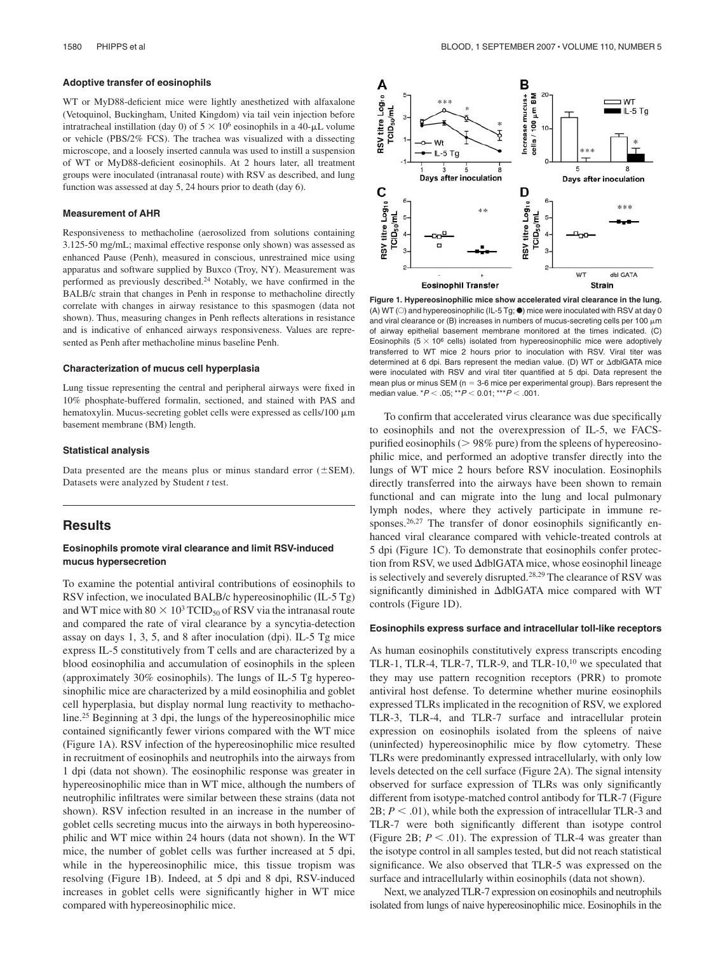#### **Adoptive transfer of eosinophils**

WT or MyD88-deficient mice were lightly anesthetized with alfaxalone (Vetoquinol, Buckingham, United Kingdom) via tail vein injection before intratracheal instillation (day 0) of  $5 \times 10^6$  eosinophils in a 40- $\mu$ L volume or vehicle (PBS/2% FCS). The trachea was visualized with a dissecting microscope, and a loosely inserted cannula was used to instill a suspension of WT or MyD88-deficient eosinophils. At 2 hours later, all treatment groups were inoculated (intranasal route) with RSV as described, and lung function was assessed at day 5, 24 hours prior to death (day 6).

## **Measurement of AHR**

Responsiveness to methacholine (aerosolized from solutions containing 3.125-50 mg/mL; maximal effective response only shown) was assessed as enhanced Pause (Penh), measured in conscious, unrestrained mice using apparatus and software supplied by Buxco (Troy, NY). Measurement was performed as previously described.<sup>24</sup> Notably, we have confirmed in the BALB/c strain that changes in Penh in response to methacholine directly correlate with changes in airway resistance to this spasmogen (data not shown). Thus, measuring changes in Penh reflects alterations in resistance and is indicative of enhanced airways responsiveness. Values are represented as Penh after methacholine minus baseline Penh.

#### **Characterization of mucus cell hyperplasia**

Lung tissue representing the central and peripheral airways were fixed in 10% phosphate-buffered formalin, sectioned, and stained with PAS and hematoxylin. Mucus-secreting goblet cells were expressed as cells/100  $\mu$ m basement membrane (BM) length.

#### **Statistical analysis**

Data presented are the means plus or minus standard error  $(\pm$ SEM). Datasets were analyzed by Student *t* test.

# **Results**

## **Eosinophils promote viral clearance and limit RSV-induced mucus hypersecretion**

To examine the potential antiviral contributions of eosinophils to RSV infection, we inoculated BALB/c hypereosinophilic (IL-5 Tg) and WT mice with  $80 \times 10^3$  TCID<sub>50</sub> of RSV via the intranasal route and compared the rate of viral clearance by a syncytia-detection assay on days 1, 3, 5, and 8 after inoculation (dpi). IL-5 Tg mice express IL-5 constitutively from T cells and are characterized by a blood eosinophilia and accumulation of eosinophils in the spleen (approximately 30% eosinophils). The lungs of IL-5 Tg hypereosinophilic mice are characterized by a mild eosinophilia and goblet cell hyperplasia, but display normal lung reactivity to methacholine.<sup>25</sup> Beginning at 3 dpi, the lungs of the hypereosinophilic mice contained significantly fewer virions compared with the WT mice (Figure 1A). RSV infection of the hypereosinophilic mice resulted in recruitment of eosinophils and neutrophils into the airways from 1 dpi (data not shown). The eosinophilic response was greater in hypereosinophilic mice than in WT mice, although the numbers of neutrophilic infiltrates were similar between these strains (data not shown). RSV infection resulted in an increase in the number of goblet cells secreting mucus into the airways in both hypereosinophilic and WT mice within 24 hours (data not shown). In the WT mice, the number of goblet cells was further increased at 5 dpi, while in the hypereosinophilic mice, this tissue tropism was resolving (Figure 1B). Indeed, at 5 dpi and 8 dpi, RSV-induced increases in goblet cells were significantly higher in WT mice compared with hypereosinophilic mice.



**Figure 1. Hypereosinophilic mice show accelerated viral clearance in the lung.** (A) WT ( $\circ$ ) and hypereosinophilic (IL-5 Tg;  $\bullet$ ) mice were inoculated with RSV at day 0 and viral clearance or (B) increases in numbers of mucus-secreting cells per 100  $\mu$ m of airway epithelial basement membrane monitored at the times indicated. (C) Eosinophils ( $5 \times 10^6$  cells) isolated from hypereosinophilic mice were adoptively transferred to WT mice 2 hours prior to inoculation with RSV. Viral titer was determined at 6 dpi. Bars represent the median value. (D) WT or dblGATA mice were inoculated with RSV and viral titer quantified at 5 dpi. Data represent the mean plus or minus SEM ( $n = 3$ -6 mice per experimental group). Bars represent the median value.  $^{\star}P$  < .05;  $^{\star\star}P$  < 0.01;  $^{\star\star\star}P$  < .001.

To confirm that accelerated virus clearance was due specifically to eosinophils and not the overexpression of IL-5, we FACSpurified eosinophils ( $> 98\%$  pure) from the spleens of hypereosinophilic mice, and performed an adoptive transfer directly into the lungs of WT mice 2 hours before RSV inoculation. Eosinophils directly transferred into the airways have been shown to remain functional and can migrate into the lung and local pulmonary lymph nodes, where they actively participate in immune responses.<sup>26,27</sup> The transfer of donor eosinophils significantly enhanced viral clearance compared with vehicle-treated controls at 5 dpi (Figure 1C). To demonstrate that eosinophils confer protection from RSV, we used dblGATA mice, whose eosinophil lineage is selectively and severely disrupted.28,29 The clearance of RSV was significantly diminished in  $\Delta$ dblGATA mice compared with WT controls (Figure 1D).

#### **Eosinophils express surface and intracellular toll-like receptors**

As human eosinophils constitutively express transcripts encoding TLR-1, TLR-4, TLR-7, TLR-9, and TLR-10,<sup>10</sup> we speculated that they may use pattern recognition receptors (PRR) to promote antiviral host defense. To determine whether murine eosinophils expressed TLRs implicated in the recognition of RSV, we explored TLR-3, TLR-4, and TLR-7 surface and intracellular protein expression on eosinophils isolated from the spleens of naive (uninfected) hypereosinophilic mice by flow cytometry. These TLRs were predominantly expressed intracellularly, with only low levels detected on the cell surface (Figure 2A). The signal intensity observed for surface expression of TLRs was only significantly different from isotype-matched control antibody for TLR-7 (Figure  $2B$ ;  $P < .01$ ), while both the expression of intracellular TLR-3 and TLR-7 were both significantly different than isotype control (Figure 2B;  $P < .01$ ). The expression of TLR-4 was greater than the isotype control in all samples tested, but did not reach statistical significance. We also observed that TLR-5 was expressed on the surface and intracellularly within eosinophils (data not shown).

Next, we analyzed TLR-7 expression on eosinophils and neutrophils isolated from lungs of naive hypereosinophilic mice. Eosinophils in the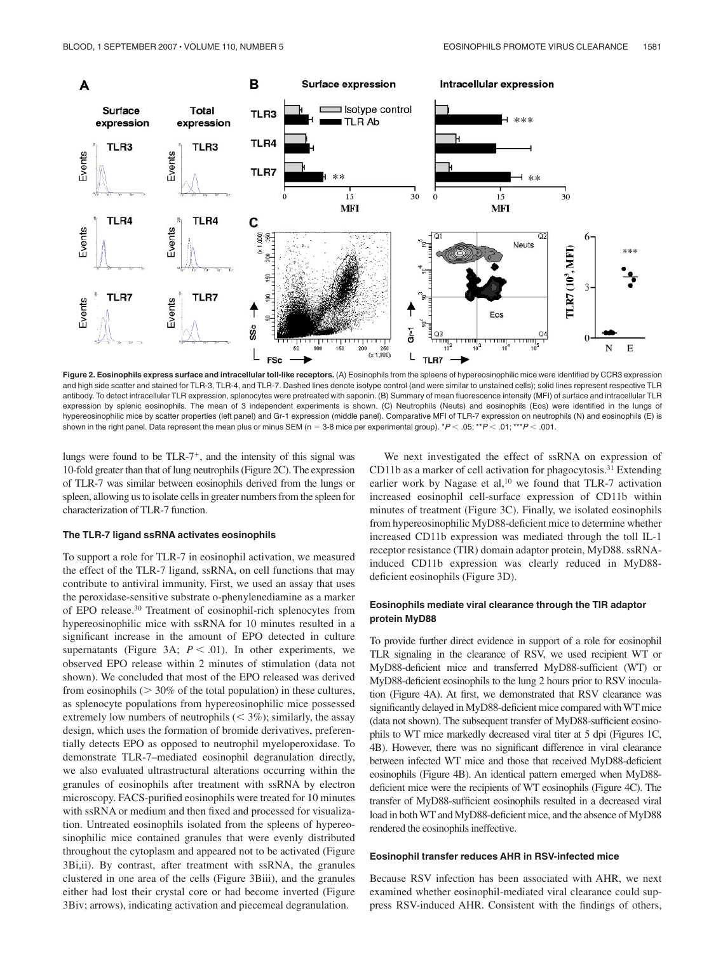

Figure 2. Eosinophils express surface and intracellular toll-like receptors. (A) Eosinophils from the spleens of hypereosinophilic mice were identified by CCR3 expression and high side scatter and stained for TLR-3, TLR-4, and TLR-7. Dashed lines denote isotype control (and were similar to unstained cells); solid lines represent respective TLR antibody. To detect intracellular TLR expression, splenocytes were pretreated with saponin. (B) Summary of mean fluorescence intensity (MFI) of surface and intracellular TLR expression by splenic eosinophils. The mean of 3 independent experiments is shown. (C) Neutrophils (Neuts) and eosinophils (Eos) were identified in the lungs of hypereosinophilic mice by scatter properties (left panel) and Gr-1 expression (middle panel). Comparative MFI of TLR-7 expression on neutrophils (N) and eosinophils (E) is shown in the right panel. Data represent the mean plus or minus SEM (n = 3-8 mice per experimental group).  $^{\star}P$  < .05;  $^{\star\star}P$  < .01;  $^{\star\star P}$  < .001.

lungs were found to be  $TLR-7<sup>+</sup>$ , and the intensity of this signal was 10-fold greater than that of lung neutrophils (Figure 2C). The expression of TLR-7 was similar between eosinophils derived from the lungs or spleen, allowing us to isolate cells in greater numbers from the spleen for characterization of TLR-7 function.

#### **The TLR-7 ligand ssRNA activates eosinophils**

To support a role for TLR-7 in eosinophil activation, we measured the effect of the TLR-7 ligand, ssRNA, on cell functions that may contribute to antiviral immunity. First, we used an assay that uses the peroxidase-sensitive substrate o-phenylenediamine as a marker of EPO release.<sup>30</sup> Treatment of eosinophil-rich splenocytes from hypereosinophilic mice with ssRNA for 10 minutes resulted in a significant increase in the amount of EPO detected in culture supernatants (Figure 3A;  $P < .01$ ). In other experiments, we observed EPO release within 2 minutes of stimulation (data not shown). We concluded that most of the EPO released was derived from eosinophils  $($  > 30% of the total population) in these cultures, as splenocyte populations from hypereosinophilic mice possessed extremely low numbers of neutrophils  $(< 3\%)$ ; similarly, the assay design, which uses the formation of bromide derivatives, preferentially detects EPO as opposed to neutrophil myeloperoxidase. To demonstrate TLR-7–mediated eosinophil degranulation directly, we also evaluated ultrastructural alterations occurring within the granules of eosinophils after treatment with ssRNA by electron microscopy. FACS-purified eosinophils were treated for 10 minutes with ssRNA or medium and then fixed and processed for visualization. Untreated eosinophils isolated from the spleens of hypereosinophilic mice contained granules that were evenly distributed throughout the cytoplasm and appeared not to be activated (Figure 3Bi,ii). By contrast, after treatment with ssRNA, the granules clustered in one area of the cells (Figure 3Biii), and the granules either had lost their crystal core or had become inverted (Figure 3Biv; arrows), indicating activation and piecemeal degranulation.

We next investigated the effect of ssRNA on expression of CD11b as a marker of cell activation for phagocytosis.<sup>31</sup> Extending earlier work by Nagase et al,<sup>10</sup> we found that TLR-7 activation increased eosinophil cell-surface expression of CD11b within minutes of treatment (Figure 3C). Finally, we isolated eosinophils from hypereosinophilic MyD88-deficient mice to determine whether increased CD11b expression was mediated through the toll IL-1 receptor resistance (TIR) domain adaptor protein, MyD88. ssRNAinduced CD11b expression was clearly reduced in MyD88 deficient eosinophils (Figure 3D).

## **Eosinophils mediate viral clearance through the TIR adaptor protein MyD88**

To provide further direct evidence in support of a role for eosinophil TLR signaling in the clearance of RSV, we used recipient WT or MyD88-deficient mice and transferred MyD88-sufficient (WT) or MyD88-deficient eosinophils to the lung 2 hours prior to RSV inoculation (Figure 4A). At first, we demonstrated that RSV clearance was significantly delayed in MyD88-deficient mice compared with WT mice (data not shown). The subsequent transfer of MyD88-sufficient eosinophils to WT mice markedly decreased viral titer at 5 dpi (Figures 1C, 4B). However, there was no significant difference in viral clearance between infected WT mice and those that received MyD88-deficient eosinophils (Figure 4B). An identical pattern emerged when MyD88 deficient mice were the recipients of WT eosinophils (Figure 4C). The transfer of MyD88-sufficient eosinophils resulted in a decreased viral load in both WT and MyD88-deficient mice, and the absence of MyD88 rendered the eosinophils ineffective.

#### **Eosinophil transfer reduces AHR in RSV-infected mice**

Because RSV infection has been associated with AHR, we next examined whether eosinophil-mediated viral clearance could suppress RSV-induced AHR. Consistent with the findings of others,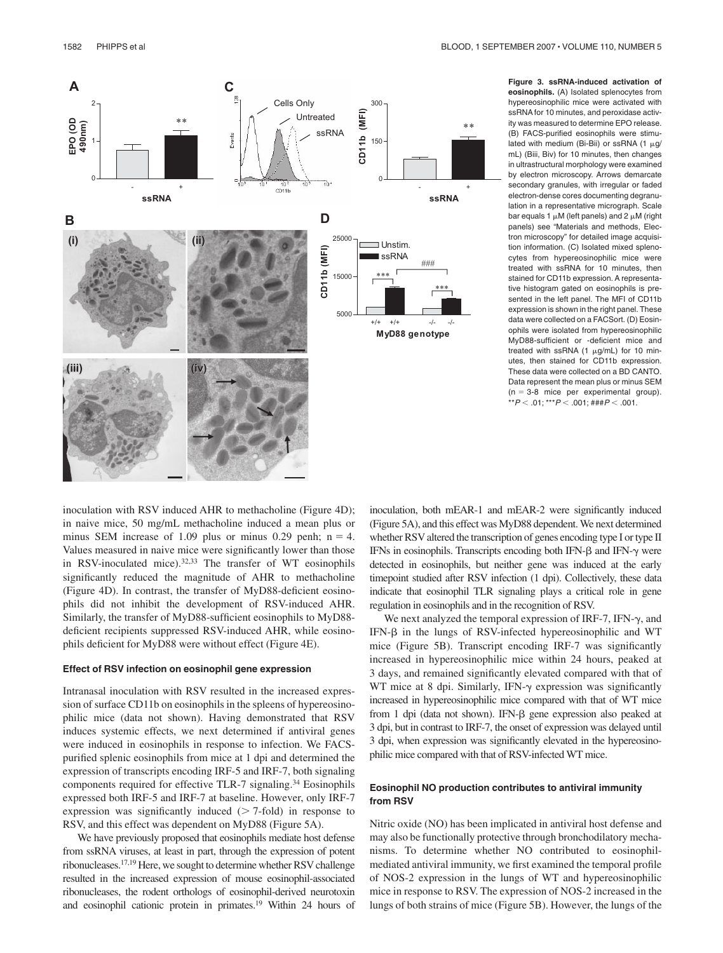

**Figure 3. ssRNA-induced activation of eosinophils.** (A) Isolated splenocytes from hypereosinophilic mice were activated with ssRNA for 10 minutes, and peroxidase activity was measured to determine EPO release. (B) FACS-purified eosinophils were stimulated with medium (Bi-Bii) or ssRNA (1  $\mu$ g/ mL) (Biii, Biv) for 10 minutes, then changes in ultrastructural morphology were examined by electron microscopy. Arrows demarcate secondary granules, with irregular or faded electron-dense cores documenting degranulation in a representative micrograph. Scale bar equals 1  $\mu$ M (left panels) and 2  $\mu$ M (right panels) see "Materials and methods, Electron microscopy" for detailed image acquisition information. (C) Isolated mixed splenocytes from hypereosinophilic mice were treated with ssRNA for 10 minutes, then stained for CD11b expression. A representative histogram gated on eosinophils is presented in the left panel. The MFI of CD11b expression is shown in the right panel. These data were collected on a FACSort. (D) Eosinophils were isolated from hypereosinophilic MyD88-sufficient or -deficient mice and treated with ssRNA (1  $\mu$ g/mL) for 10 minutes, then stained for CD11b expression. These data were collected on a BD CANTO. Data represent the mean plus or minus SEM  $(n = 3-8$  mice per experimental group). \*\* $P$   $<$  .01; \*\*\* $P$   $<$  .001; ### $P$   $<$  .001.

inoculation with RSV induced AHR to methacholine (Figure 4D); in naive mice, 50 mg/mL methacholine induced a mean plus or minus SEM increase of 1.09 plus or minus 0.29 penh;  $n = 4$ . Values measured in naive mice were significantly lower than those in RSV-inoculated mice).32,33 The transfer of WT eosinophils significantly reduced the magnitude of AHR to methacholine (Figure 4D). In contrast, the transfer of MyD88-deficient eosinophils did not inhibit the development of RSV-induced AHR. Similarly, the transfer of MyD88-sufficient eosinophils to MyD88 deficient recipients suppressed RSV-induced AHR, while eosinophils deficient for MyD88 were without effect (Figure 4E).

#### **Effect of RSV infection on eosinophil gene expression**

Intranasal inoculation with RSV resulted in the increased expression of surface CD11b on eosinophils in the spleens of hypereosinophilic mice (data not shown). Having demonstrated that RSV induces systemic effects, we next determined if antiviral genes were induced in eosinophils in response to infection. We FACSpurified splenic eosinophils from mice at 1 dpi and determined the expression of transcripts encoding IRF-5 and IRF-7, both signaling components required for effective TLR-7 signaling.<sup>34</sup> Eosinophils expressed both IRF-5 and IRF-7 at baseline. However, only IRF-7 expression was significantly induced  $($  7-fold) in response to RSV, and this effect was dependent on MyD88 (Figure 5A).

We have previously proposed that eosinophils mediate host defense from ssRNA viruses, at least in part, through the expression of potent ribonucleases.17,19 Here, we sought to determine whether RSV challenge resulted in the increased expression of mouse eosinophil-associated ribonucleases, the rodent orthologs of eosinophil-derived neurotoxin and eosinophil cationic protein in primates.<sup>19</sup> Within 24 hours of inoculation, both mEAR-1 and mEAR-2 were significantly induced (Figure 5A), and this effect was MyD88 dependent. We next determined whether RSV altered the transcription of genes encoding type I or type II IFNs in eosinophils. Transcripts encoding both IFN- $\beta$  and IFN- $\gamma$  were detected in eosinophils, but neither gene was induced at the early timepoint studied after RSV infection (1 dpi). Collectively, these data indicate that eosinophil TLR signaling plays a critical role in gene regulation in eosinophils and in the recognition of RSV.

We next analyzed the temporal expression of IRF-7, IFN- $\gamma$ , and IFN- $\beta$  in the lungs of RSV-infected hypereosinophilic and WT mice (Figure 5B). Transcript encoding IRF-7 was significantly increased in hypereosinophilic mice within 24 hours, peaked at 3 days, and remained significantly elevated compared with that of WT mice at 8 dpi. Similarly, IFN- $\gamma$  expression was significantly increased in hypereosinophilic mice compared with that of WT mice from 1 dpi (data not shown). IFN- $\beta$  gene expression also peaked at 3 dpi, but in contrast to IRF-7, the onset of expression was delayed until 3 dpi, when expression was significantly elevated in the hypereosinophilic mice compared with that of RSV-infected WT mice.

# **Eosinophil NO production contributes to antiviral immunity from RSV**

Nitric oxide (NO) has been implicated in antiviral host defense and may also be functionally protective through bronchodilatory mechanisms. To determine whether NO contributed to eosinophilmediated antiviral immunity, we first examined the temporal profile of NOS-2 expression in the lungs of WT and hypereosinophilic mice in response to RSV. The expression of NOS-2 increased in the lungs of both strains of mice (Figure 5B). However, the lungs of the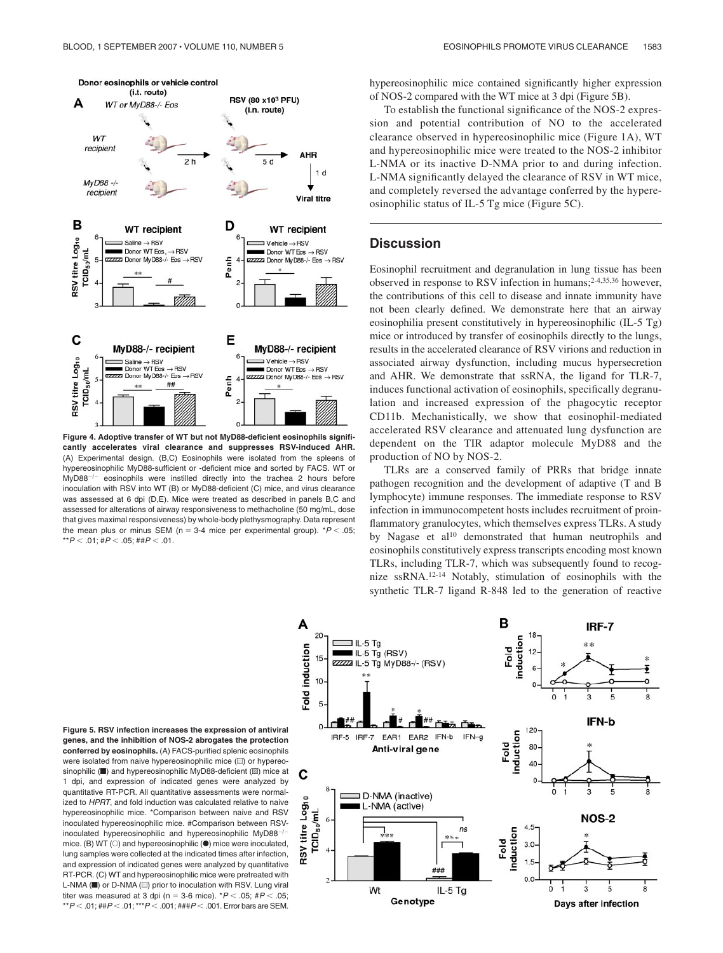

**Figure 4. Adoptive transfer of WT but not MyD88-deficient eosinophils significantly accelerates viral clearance and suppresses RSV-induced AHR.** (A) Experimental design. (B,C) Eosinophils were isolated from the spleens of hypereosinophilic MyD88-sufficient or -deficient mice and sorted by FACS. WT or  $MyD88<sup>-/-</sup>$  eosinophils were instilled directly into the trachea 2 hours before inoculation with RSV into WT (B) or MyD88-deficient (C) mice, and virus clearance was assessed at 6 dpi (D.E). Mice were treated as described in panels B.C and assessed for alterations of airway responsiveness to methacholine (50 mg/mL, dose that gives maximal responsiveness) by whole-body plethysmography. Data represent the mean plus or minus SEM (n = 3-4 mice per experimental group).  $P < .05$ ; \*\* $P$   $<$  .01; # $P$   $<$  .05; ## $P$   $<$  .01.

hypereosinophilic mice contained significantly higher expression of NOS-2 compared with the WT mice at 3 dpi (Figure 5B).

To establish the functional significance of the NOS-2 expression and potential contribution of NO to the accelerated clearance observed in hypereosinophilic mice (Figure 1A), WT and hypereosinophilic mice were treated to the NOS-2 inhibitor L-NMA or its inactive D-NMA prior to and during infection. L-NMA significantly delayed the clearance of RSV in WT mice, and completely reversed the advantage conferred by the hypereosinophilic status of IL-5 Tg mice (Figure 5C).

# **Discussion**

Eosinophil recruitment and degranulation in lung tissue has been observed in response to RSV infection in humans;2-4,35,36 however, the contributions of this cell to disease and innate immunity have not been clearly defined. We demonstrate here that an airway eosinophilia present constitutively in hypereosinophilic (IL-5 Tg) mice or introduced by transfer of eosinophils directly to the lungs, results in the accelerated clearance of RSV virions and reduction in associated airway dysfunction, including mucus hypersecretion and AHR. We demonstrate that ssRNA, the ligand for TLR-7, induces functional activation of eosinophils, specifically degranulation and increased expression of the phagocytic receptor CD11b. Mechanistically, we show that eosinophil-mediated accelerated RSV clearance and attenuated lung dysfunction are dependent on the TIR adaptor molecule MyD88 and the production of NO by NOS-2.

TLRs are a conserved family of PRRs that bridge innate pathogen recognition and the development of adaptive (T and B lymphocyte) immune responses. The immediate response to RSV infection in immunocompetent hosts includes recruitment of proinflammatory granulocytes, which themselves express TLRs. A study by Nagase et al<sup>10</sup> demonstrated that human neutrophils and eosinophils constitutively express transcripts encoding most known TLRs, including TLR-7, which was subsequently found to recognize ssRNA.12-14 Notably, stimulation of eosinophils with the synthetic TLR-7 ligand R-848 led to the generation of reactive



**Figure 5. RSV infection increases the expression of antiviral genes, and the inhibition of NOS-2 abrogates the protection conferred by eosinophils.** (A) FACS-purified splenic eosinophils were isolated from naive hypereosinophilic mice (iii) or hypereosinophilic ( $\blacksquare$ ) and hypereosinophilic MyD88-deficient ( $\mathbb Z$ ) mice at 1 dpi, and expression of indicated genes were analyzed by quantitative RT-PCR. All quantitative assessments were normalized to HPRT, and fold induction was calculated relative to naive hypereosinophilic mice. \*Comparison between naive and RSV inoculated hypereosinophilic mice. #Comparison between RSVinoculated hypereosinophilic and hypereosinophilic MyD88<sup>-/-</sup> mice. (B) WT  $(\bigcirc)$  and hypereosinophilic  $(\bullet)$  mice were inoculated, lung samples were collected at the indicated times after infection, and expression of indicated genes were analyzed by quantitative RT-PCR. (C) WT and hypereosinophilic mice were pretreated with L-NMA (iii) or D-NMA (iiii) prior to inoculation with RSV. Lung viral titer was measured at 3 dpi (n = 3-6 mice).  $^{\star}P$  < .05; # $P$  < .05; \*\* $P$  < .01; ## $P$  < .01; \*\*\* $P$  < .001; ### $P$  < .001. Error bars are SEM.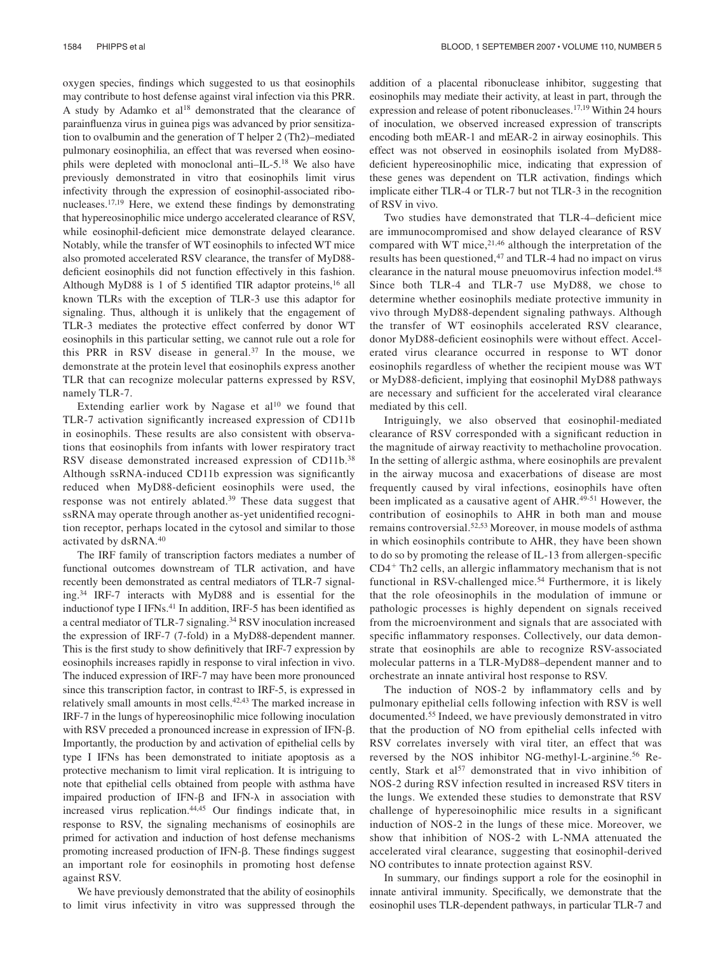oxygen species, findings which suggested to us that eosinophils may contribute to host defense against viral infection via this PRR. A study by Adamko et al<sup>18</sup> demonstrated that the clearance of parainfluenza virus in guinea pigs was advanced by prior sensitization to ovalbumin and the generation of T helper 2 (Th2)–mediated pulmonary eosinophilia, an effect that was reversed when eosinophils were depleted with monoclonal anti–IL-5.<sup>18</sup> We also have previously demonstrated in vitro that eosinophils limit virus infectivity through the expression of eosinophil-associated ribonucleases.17,19 Here, we extend these findings by demonstrating that hypereosinophilic mice undergo accelerated clearance of RSV, while eosinophil-deficient mice demonstrate delayed clearance. Notably, while the transfer of WT eosinophils to infected WT mice also promoted accelerated RSV clearance, the transfer of MyD88 deficient eosinophils did not function effectively in this fashion. Although MyD88 is 1 of 5 identified TIR adaptor proteins,<sup>16</sup> all known TLRs with the exception of TLR-3 use this adaptor for signaling. Thus, although it is unlikely that the engagement of TLR-3 mediates the protective effect conferred by donor WT eosinophils in this particular setting, we cannot rule out a role for this PRR in RSV disease in general.<sup>37</sup> In the mouse, we demonstrate at the protein level that eosinophils express another TLR that can recognize molecular patterns expressed by RSV, namely TLR-7.

Extending earlier work by Nagase et  $al^{10}$  we found that TLR-7 activation significantly increased expression of CD11b in eosinophils. These results are also consistent with observations that eosinophils from infants with lower respiratory tract RSV disease demonstrated increased expression of CD11b.<sup>38</sup> Although ssRNA-induced CD11b expression was significantly reduced when MyD88-deficient eosinophils were used, the response was not entirely ablated.<sup>39</sup> These data suggest that ssRNA may operate through another as-yet unidentified recognition receptor, perhaps located in the cytosol and similar to those activated by dsRNA.<sup>40</sup>

The IRF family of transcription factors mediates a number of functional outcomes downstream of TLR activation, and have recently been demonstrated as central mediators of TLR-7 signaling.<sup>34</sup> IRF-7 interacts with MyD88 and is essential for the inductionof type I IFNs.<sup>41</sup> In addition, IRF-5 has been identified as a central mediator of TLR-7 signaling.<sup>34</sup> RSV inoculation increased the expression of IRF-7 (7-fold) in a MyD88-dependent manner. This is the first study to show definitively that IRF-7 expression by eosinophils increases rapidly in response to viral infection in vivo. The induced expression of IRF-7 may have been more pronounced since this transcription factor, in contrast to IRF-5, is expressed in relatively small amounts in most cells.<sup>42,43</sup> The marked increase in IRF-7 in the lungs of hypereosinophilic mice following inoculation with RSV preceded a pronounced increase in expression of IFN- $\beta$ . Importantly, the production by and activation of epithelial cells by type I IFNs has been demonstrated to initiate apoptosis as a protective mechanism to limit viral replication. It is intriguing to note that epithelial cells obtained from people with asthma have impaired production of IFN- $\beta$  and IFN- $\lambda$  in association with increased virus replication.44,45 Our findings indicate that, in response to RSV, the signaling mechanisms of eosinophils are primed for activation and induction of host defense mechanisms promoting increased production of IFN- $\beta$ . These findings suggest an important role for eosinophils in promoting host defense against RSV.

We have previously demonstrated that the ability of eosinophils to limit virus infectivity in vitro was suppressed through the addition of a placental ribonuclease inhibitor, suggesting that eosinophils may mediate their activity, at least in part, through the expression and release of potent ribonucleases.17,19 Within 24 hours of inoculation, we observed increased expression of transcripts encoding both mEAR-1 and mEAR-2 in airway eosinophils. This effect was not observed in eosinophils isolated from MyD88 deficient hypereosinophilic mice, indicating that expression of these genes was dependent on TLR activation, findings which implicate either TLR-4 or TLR-7 but not TLR-3 in the recognition of RSV in vivo.

Two studies have demonstrated that TLR-4–deficient mice are immunocompromised and show delayed clearance of RSV compared with WT mice, $2^{1,46}$  although the interpretation of the results has been questioned,<sup>47</sup> and TLR-4 had no impact on virus clearance in the natural mouse pneuomovirus infection model.<sup>48</sup> Since both TLR-4 and TLR-7 use MyD88, we chose to determine whether eosinophils mediate protective immunity in vivo through MyD88-dependent signaling pathways. Although the transfer of WT eosinophils accelerated RSV clearance, donor MyD88-deficient eosinophils were without effect. Accelerated virus clearance occurred in response to WT donor eosinophils regardless of whether the recipient mouse was WT or MyD88-deficient, implying that eosinophil MyD88 pathways are necessary and sufficient for the accelerated viral clearance mediated by this cell.

Intriguingly, we also observed that eosinophil-mediated clearance of RSV corresponded with a significant reduction in the magnitude of airway reactivity to methacholine provocation. In the setting of allergic asthma, where eosinophils are prevalent in the airway mucosa and exacerbations of disease are most frequently caused by viral infections, eosinophils have often been implicated as a causative agent of AHR.<sup>49-51</sup> However, the contribution of eosinophils to AHR in both man and mouse remains controversial.52,53 Moreover, in mouse models of asthma in which eosinophils contribute to AHR, they have been shown to do so by promoting the release of IL-13 from allergen-specific CD4 Th2 cells, an allergic inflammatory mechanism that is not functional in RSV-challenged mice.<sup>54</sup> Furthermore, it is likely that the role ofeosinophils in the modulation of immune or pathologic processes is highly dependent on signals received from the microenvironment and signals that are associated with specific inflammatory responses. Collectively, our data demonstrate that eosinophils are able to recognize RSV-associated molecular patterns in a TLR-MyD88–dependent manner and to orchestrate an innate antiviral host response to RSV.

The induction of NOS-2 by inflammatory cells and by pulmonary epithelial cells following infection with RSV is well documented.<sup>55</sup> Indeed, we have previously demonstrated in vitro that the production of NO from epithelial cells infected with RSV correlates inversely with viral titer, an effect that was reversed by the NOS inhibitor NG-methyl-L-arginine.<sup>56</sup> Recently, Stark et al<sup>57</sup> demonstrated that in vivo inhibition of NOS-2 during RSV infection resulted in increased RSV titers in the lungs. We extended these studies to demonstrate that RSV challenge of hyperesoinophilic mice results in a significant induction of NOS-2 in the lungs of these mice. Moreover, we show that inhibition of NOS-2 with L-NMA attenuated the accelerated viral clearance, suggesting that eosinophil-derived NO contributes to innate protection against RSV.

In summary, our findings support a role for the eosinophil in innate antiviral immunity. Specifically, we demonstrate that the eosinophil uses TLR-dependent pathways, in particular TLR-7 and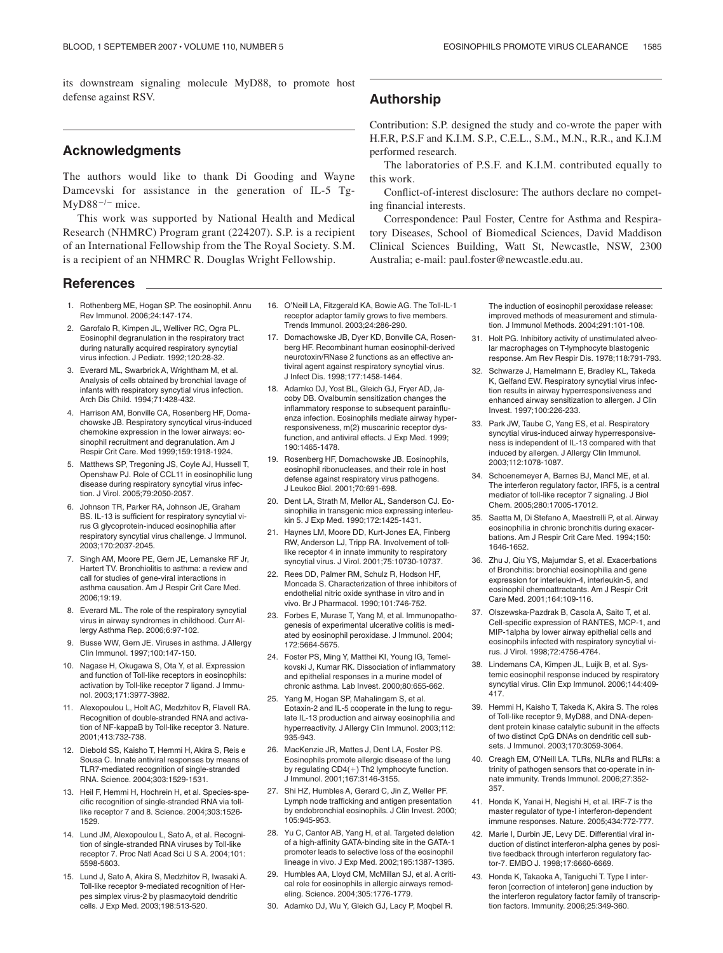its downstream signaling molecule MyD88, to promote host defense against RSV.

# **Acknowledgments**

The authors would like to thank Di Gooding and Wayne Damcevski for assistance in the generation of IL-5 Tg- $MyD88^{-/-}$  mice.

This work was supported by National Health and Medical Research (NHMRC) Program grant (224207). S.P. is a recipient of an International Fellowship from the The Royal Society. S.M. is a recipient of an NHMRC R. Douglas Wright Fellowship.

## **References**

1. Rothenberg ME, Hogan SP. The eosinophil. Annu Rev Immunol. 2006;24:147-174.

2. Garofalo R, Kimpen JL, Welliver RC, Ogra PL. Eosinophil degranulation in the respiratory tract during naturally acquired respiratory syncytial virus infection. J Pediatr. 1992;120:28-32.

3. Everard ML, Swarbrick A, Wrightham M, et al. Analysis of cells obtained by bronchial lavage of infants with respiratory syncytial virus infection. Arch Dis Child. 1994;71:428-432.

- 4. Harrison AM, Bonville CA, Rosenberg HF, Domachowske JB. Respiratory syncytical virus-induced chemokine expression in the lower airways: eosinophil recruitment and degranulation. Am J Respir Crit Care. Med 1999;159:1918-1924.
- 5. Matthews SP, Tregoning JS, Coyle AJ, Hussell T, Openshaw PJ. Role of CCL11 in eosinophilic lung disease during respiratory syncytial virus infection. J Virol. 2005;79:2050-2057.

6. Johnson TR, Parker RA, Johnson JE, Graham BS. IL-13 is sufficient for respiratory syncytial virus G glycoprotein-induced eosinophilia after respiratory syncytial virus challenge. J Immunol. 2003;170:2037-2045.

- 7. Singh AM, Moore PE, Gern JE, Lemanske RF Jr, Hartert TV. Bronchiolitis to asthma: a review and call for studies of gene-viral interactions in asthma causation. Am J Respir Crit Care Med. 2006;19:19.
- 8. Everard ML. The role of the respiratory syncytial virus in airway syndromes in childhood. Curr Allergy Asthma Rep. 2006;6:97-102.
- 9. Busse WW, Gern JE. Viruses in asthma. J Allergy Clin Immunol. 1997;100:147-150.
- 10. Nagase H, Okugawa S, Ota Y, et al. Expression and function of Toll-like receptors in eosinophils: activation by Toll-like receptor 7 ligand. J Immunol. 2003;171:3977-3982.
- 11. Alexopoulou L, Holt AC, Medzhitov R, Flavell RA. Recognition of double-stranded RNA and activation of NF-kappaB by Toll-like receptor 3. Nature. 2001;413:732-738.
- 12. Diebold SS, Kaisho T, Hemmi H, Akira S, Reis e Sousa C. Innate antiviral responses by means of TLR7-mediated recognition of single-stranded RNA. Science. 2004;303:1529-1531.
- 13. Heil F, Hemmi H, Hochrein H, et al. Species-specific recognition of single-stranded RNA via tolllike receptor 7 and 8. Science. 2004;303:1526- 1529.
- 14. Lund JM, Alexopoulou L, Sato A, et al. Recognition of single-stranded RNA viruses by Toll-like receptor 7. Proc Natl Acad Sci U S A. 2004;101: 5598-5603.
- 15. Lund J, Sato A, Akira S, Medzhitov R, Iwasaki A. Toll-like receptor 9-mediated recognition of Herpes simplex virus-2 by plasmacytoid dendritic cells. J Exp Med. 2003;198:513-520.
- 16. O'Neill LA, Fitzgerald KA, Bowie AG. The Toll-IL-1 receptor adaptor family grows to five members. Trends Immunol. 2003;24:286-290.
- 17. Domachowske JB, Dyer KD, Bonville CA, Rosenberg HF. Recombinant human eosinophil-derived neurotoxin/RNase 2 functions as an effective antiviral agent against respiratory syncytial virus. J Infect Dis. 1998;177:1458-1464.
- 18. Adamko DJ, Yost BL, Gleich GJ, Fryer AD, Jacoby DB. Ovalbumin sensitization changes the inflammatory response to subsequent parainfluenza infection. Eosinophils mediate airway hyperresponsiveness, m(2) muscarinic receptor dysfunction, and antiviral effects. J Exp Med. 1999; 190:1465-1478.
- 19. Rosenberg HF, Domachowske JB. Eosinophils, eosinophil ribonucleases, and their role in host defense against respiratory virus pathogens. J Leukoc Biol. 2001;70:691-698.
- 20. Dent LA, Strath M, Mellor AL, Sanderson CJ. Eosinophilia in transgenic mice expressing interleukin 5. J Exp Med. 1990;172:1425-1431.
- 21. Haynes LM, Moore DD, Kurt-Jones EA, Finberg RW, Anderson LJ, Tripp RA. Involvement of tolllike receptor 4 in innate immunity to respiratory syncytial virus. J Virol. 2001;75:10730-10737.
- 22. Rees DD, Palmer RM, Schulz R, Hodson HF, Moncada S. Characterization of three inhibitors of endothelial nitric oxide synthase in vitro and in vivo. Br J Pharmacol. 1990;101:746-752.
- 23. Forbes E, Murase T, Yang M, et al. Immunopathogenesis of experimental ulcerative colitis is mediated by eosinophil peroxidase. J Immunol. 2004; 172:5664-5675.
- 24. Foster PS, Ming Y, Matthei KI, Young IG, Temelkovski J, Kumar RK. Dissociation of inflammatory and epithelial responses in a murine model of chronic asthma. Lab Invest. 2000;80:655-662.
- 25. Yang M, Hogan SP, Mahalingam S, et al. Eotaxin-2 and IL-5 cooperate in the lung to regulate IL-13 production and airway eosinophilia and hyperreactivity. J Allergy Clin Immunol. 2003;112: 935-943.
- 26. MacKenzie JR, Mattes J, Dent LA, Foster PS. Eosinophils promote allergic disease of the lung by regulating  $CD4(+)$  Th2 lymphocyte function. J Immunol. 2001;167:3146-3155.
- 27. Shi HZ, Humbles A, Gerard C, Jin Z, Weller PF. Lymph node trafficking and antigen presentation by endobronchial eosinophils. J Clin Invest. 2000; 105:945-953.
- 28. Yu C, Cantor AB, Yang H, et al. Targeted deletion of a high-affinity GATA-binding site in the GATA-1 promoter leads to selective loss of the eosinophil lineage in vivo. J Exp Med. 2002;195:1387-1395.
- 29. Humbles AA, Lloyd CM, McMillan SJ, et al. A critical role for eosinophils in allergic airways remodeling. Science. 2004;305:1776-1779.
- 30. Adamko DJ, Wu Y, Gleich GJ, Lacy P, Moqbel R.

# **Authorship**

Contribution: S.P. designed the study and co-wrote the paper with H.F.R, P.S.F and K.I.M. S.P., C.E.L., S.M., M.N., R.R., and K.I.M performed research.

The laboratories of P.S.F. and K.I.M. contributed equally to this work.

Conflict-of-interest disclosure: The authors declare no competing financial interests.

Correspondence: Paul Foster, Centre for Asthma and Respiratory Diseases, School of Biomedical Sciences, David Maddison Clinical Sciences Building, Watt St, Newcastle, NSW, 2300 Australia; e-mail: paul.foster@newcastle.edu.au.

> The induction of eosinophil peroxidase release: improved methods of measurement and stimulation. J Immunol Methods. 2004;291:101-108.

- 31. Holt PG. Inhibitory activity of unstimulated alveolar macrophages on T-lymphocyte blastogenic response. Am Rev Respir Dis. 1978;118:791-793.
- 32. Schwarze J, Hamelmann E, Bradley KL, Takeda K, Gelfand EW. Respiratory syncytial virus infection results in airway hyperresponsiveness and enhanced airway sensitization to allergen. J Clin Invest. 1997;100:226-233.
- 33. Park JW, Taube C, Yang ES, et al. Respiratory syncytial virus-induced airway hyperresponsiveness is independent of IL-13 compared with that induced by allergen. J Allergy Clin Immunol. 2003;112:1078-1087.
- 34. Schoenemeyer A, Barnes BJ, Mancl ME, et al. The interferon regulatory factor, IRF5, is a central mediator of toll-like receptor 7 signaling. J Biol Chem. 2005;280:17005-17012.
- 35. Saetta M, Di Stefano A, Maestrelli P, et al. Airway eosinophilia in chronic bronchitis during exacerbations. Am J Respir Crit Care Med. 1994;150: 1646-1652.
- 36. Zhu J, Qiu YS, Majumdar S, et al. Exacerbations of Bronchitis: bronchial eosinophilia and gene expression for interleukin-4, interleukin-5, and eosinophil chemoattractants. Am J Respir Crit Care Med. 2001;164:109-116.
- 37. Olszewska-Pazdrak B, Casola A, Saito T, et al. Cell-specific expression of RANTES, MCP-1, and MIP-1alpha by lower airway epithelial cells and eosinophils infected with respiratory syncytial virus. J Virol. 1998;72:4756-4764.
- 38. Lindemans CA, Kimpen JL, Luijk B, et al. Systemic eosinophil response induced by respiratory syncytial virus. Clin Exp Immunol. 2006;144:409- 417.
- 39. Hemmi H, Kaisho T, Takeda K, Akira S. The roles of Toll-like receptor 9, MyD88, and DNA-dependent protein kinase catalytic subunit in the effects of two distinct CpG DNAs on dendritic cell subsets. J Immunol. 2003;170:3059-3064.
- 40. Creagh EM, O'Neill LA. TLRs, NLRs and RLRs: a trinity of pathogen sensors that co-operate in innate immunity. Trends Immunol. 2006;27:352- 357.
- 41. Honda K, Yanai H, Negishi H, et al. IRF-7 is the master regulator of type-I interferon-dependent immune responses. Nature. 2005;434:772-777.
- 42. Marie I, Durbin JE, Levy DE. Differential viral induction of distinct interferon-alpha genes by positive feedback through interferon regulatory factor-7. EMBO J. 1998;17:6660-6669.
- 43. Honda K, Takaoka A, Taniguchi T. Type I interferon [correction of inteferon] gene induction by the interferon regulatory factor family of transcription factors. Immunity. 2006;25:349-360.